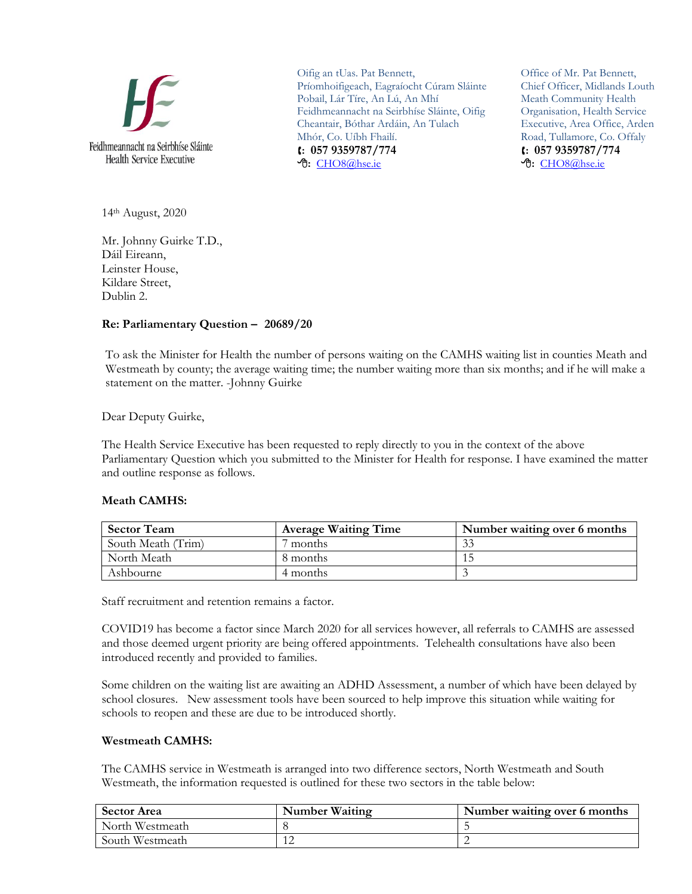

Oifig an tUas. Pat Bennett, Príomhoifigeach, Eagraíocht Cúram Sláinte Pobail, Lár Tíre, An Lú, An Mhí Feidhmeannacht na Seirbhíse Sláinte, Oifig Cheantair, Bóthar Ardáin, An Tulach Mhór, Co. Uíbh Fhailí. **: 057 9359787/774 :** [CHO8@hse.ie](mailto:CHO8@hse.ie)

Office of Mr. Pat Bennett, Chief Officer, Midlands Louth Meath Community Health Organisation, Health Service Executive, Area Office, Arden Road, Tullamore, Co. Offaly **: 057 9359787/774 :** [CHO8@hse.ie](mailto:CHO8@hse.ie)

14th August, 2020

Mr. Johnny Guirke T.D., Dáil Eireann, Leinster House, Kildare Street, Dublin 2.

## **Re: Parliamentary Question – 20689/20**

To ask the Minister for Health the number of persons waiting on the CAMHS waiting list in counties Meath and Westmeath by county; the average waiting time; the number waiting more than six months; and if he will make a statement on the matter. -Johnny Guirke

Dear Deputy Guirke,

The Health Service Executive has been requested to reply directly to you in the context of the above Parliamentary Question which you submitted to the Minister for Health for response. I have examined the matter and outline response as follows.

## **Meath CAMHS:**

| <b>Sector Team</b> | <b>Average Waiting Time</b> | Number waiting over 6 months |
|--------------------|-----------------------------|------------------------------|
| South Meath (Trim) | months                      |                              |
| North Meath        | 8 months                    |                              |
| Ashbourne          | 4 months                    |                              |

Staff recruitment and retention remains a factor.

COVID19 has become a factor since March 2020 for all services however, all referrals to CAMHS are assessed and those deemed urgent priority are being offered appointments. Telehealth consultations have also been introduced recently and provided to families.

Some children on the waiting list are awaiting an ADHD Assessment, a number of which have been delayed by school closures. New assessment tools have been sourced to help improve this situation while waiting for schools to reopen and these are due to be introduced shortly.

## **Westmeath CAMHS:**

The CAMHS service in Westmeath is arranged into two difference sectors, North Westmeath and South Westmeath, the information requested is outlined for these two sectors in the table below:

| <b>Sector Area</b> | Number Waiting | Number waiting over 6 months |
|--------------------|----------------|------------------------------|
| North Westmeath    |                |                              |
| South Westmeath    |                |                              |